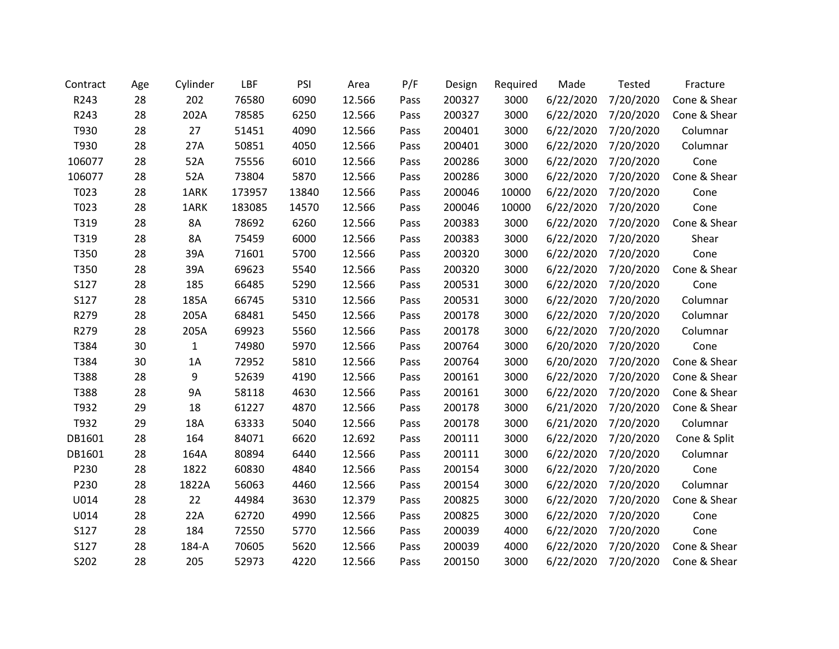| Contract | Age | Cylinder     | LBF    | PSI   | Area   | P/F  | Design | Required | Made      | Tested    | Fracture     |
|----------|-----|--------------|--------|-------|--------|------|--------|----------|-----------|-----------|--------------|
| R243     | 28  | 202          | 76580  | 6090  | 12.566 | Pass | 200327 | 3000     | 6/22/2020 | 7/20/2020 | Cone & Shear |
| R243     | 28  | 202A         | 78585  | 6250  | 12.566 | Pass | 200327 | 3000     | 6/22/2020 | 7/20/2020 | Cone & Shear |
| T930     | 28  | 27           | 51451  | 4090  | 12.566 | Pass | 200401 | 3000     | 6/22/2020 | 7/20/2020 | Columnar     |
| T930     | 28  | 27A          | 50851  | 4050  | 12.566 | Pass | 200401 | 3000     | 6/22/2020 | 7/20/2020 | Columnar     |
| 106077   | 28  | 52A          | 75556  | 6010  | 12.566 | Pass | 200286 | 3000     | 6/22/2020 | 7/20/2020 | Cone         |
| 106077   | 28  | 52A          | 73804  | 5870  | 12.566 | Pass | 200286 | 3000     | 6/22/2020 | 7/20/2020 | Cone & Shear |
| T023     | 28  | 1ARK         | 173957 | 13840 | 12.566 | Pass | 200046 | 10000    | 6/22/2020 | 7/20/2020 | Cone         |
| T023     | 28  | 1ARK         | 183085 | 14570 | 12.566 | Pass | 200046 | 10000    | 6/22/2020 | 7/20/2020 | Cone         |
| T319     | 28  | 8A           | 78692  | 6260  | 12.566 | Pass | 200383 | 3000     | 6/22/2020 | 7/20/2020 | Cone & Shear |
| T319     | 28  | 8A           | 75459  | 6000  | 12.566 | Pass | 200383 | 3000     | 6/22/2020 | 7/20/2020 | Shear        |
| T350     | 28  | 39A          | 71601  | 5700  | 12.566 | Pass | 200320 | 3000     | 6/22/2020 | 7/20/2020 | Cone         |
| T350     | 28  | 39A          | 69623  | 5540  | 12.566 | Pass | 200320 | 3000     | 6/22/2020 | 7/20/2020 | Cone & Shear |
| S127     | 28  | 185          | 66485  | 5290  | 12.566 | Pass | 200531 | 3000     | 6/22/2020 | 7/20/2020 | Cone         |
| S127     | 28  | 185A         | 66745  | 5310  | 12.566 | Pass | 200531 | 3000     | 6/22/2020 | 7/20/2020 | Columnar     |
| R279     | 28  | 205A         | 68481  | 5450  | 12.566 | Pass | 200178 | 3000     | 6/22/2020 | 7/20/2020 | Columnar     |
| R279     | 28  | 205A         | 69923  | 5560  | 12.566 | Pass | 200178 | 3000     | 6/22/2020 | 7/20/2020 | Columnar     |
| T384     | 30  | $\mathbf{1}$ | 74980  | 5970  | 12.566 | Pass | 200764 | 3000     | 6/20/2020 | 7/20/2020 | Cone         |
| T384     | 30  | 1A           | 72952  | 5810  | 12.566 | Pass | 200764 | 3000     | 6/20/2020 | 7/20/2020 | Cone & Shear |
| T388     | 28  | 9            | 52639  | 4190  | 12.566 | Pass | 200161 | 3000     | 6/22/2020 | 7/20/2020 | Cone & Shear |
| T388     | 28  | 9Α           | 58118  | 4630  | 12.566 | Pass | 200161 | 3000     | 6/22/2020 | 7/20/2020 | Cone & Shear |
| T932     | 29  | 18           | 61227  | 4870  | 12.566 | Pass | 200178 | 3000     | 6/21/2020 | 7/20/2020 | Cone & Shear |
| T932     | 29  | 18A          | 63333  | 5040  | 12.566 | Pass | 200178 | 3000     | 6/21/2020 | 7/20/2020 | Columnar     |
| DB1601   | 28  | 164          | 84071  | 6620  | 12.692 | Pass | 200111 | 3000     | 6/22/2020 | 7/20/2020 | Cone & Split |
| DB1601   | 28  | 164A         | 80894  | 6440  | 12.566 | Pass | 200111 | 3000     | 6/22/2020 | 7/20/2020 | Columnar     |
| P230     | 28  | 1822         | 60830  | 4840  | 12.566 | Pass | 200154 | 3000     | 6/22/2020 | 7/20/2020 | Cone         |
| P230     | 28  | 1822A        | 56063  | 4460  | 12.566 | Pass | 200154 | 3000     | 6/22/2020 | 7/20/2020 | Columnar     |
| U014     | 28  | 22           | 44984  | 3630  | 12.379 | Pass | 200825 | 3000     | 6/22/2020 | 7/20/2020 | Cone & Shear |
| U014     | 28  | 22A          | 62720  | 4990  | 12.566 | Pass | 200825 | 3000     | 6/22/2020 | 7/20/2020 | Cone         |
| S127     | 28  | 184          | 72550  | 5770  | 12.566 | Pass | 200039 | 4000     | 6/22/2020 | 7/20/2020 | Cone         |
| S127     | 28  | 184-A        | 70605  | 5620  | 12.566 | Pass | 200039 | 4000     | 6/22/2020 | 7/20/2020 | Cone & Shear |
| S202     | 28  | 205          | 52973  | 4220  | 12.566 | Pass | 200150 | 3000     | 6/22/2020 | 7/20/2020 | Cone & Shear |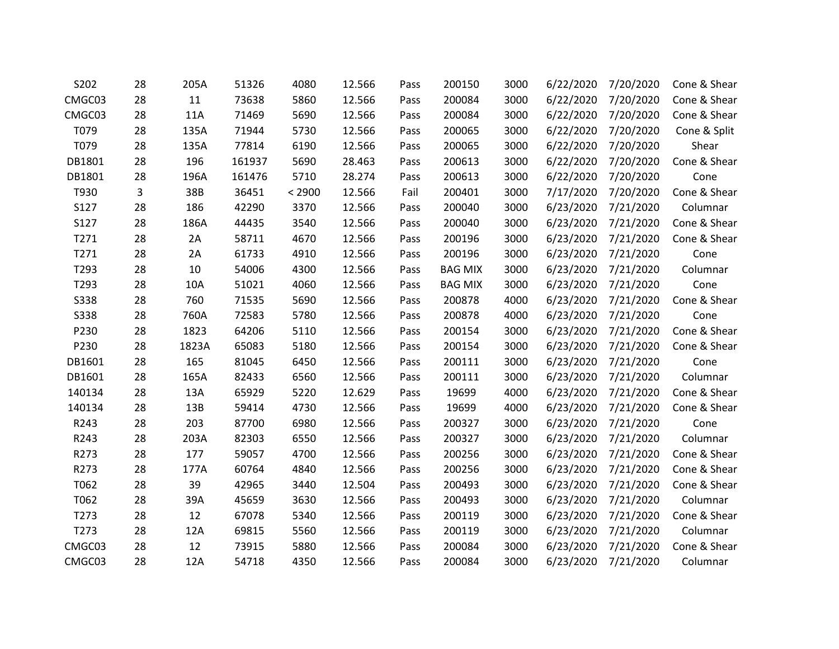| S202        | 28 | 205A  | 51326  | 4080   | 12.566 | Pass | 200150         | 3000 | 6/22/2020 | 7/20/2020 | Cone & Shear |
|-------------|----|-------|--------|--------|--------|------|----------------|------|-----------|-----------|--------------|
| CMGC03      | 28 | 11    | 73638  | 5860   | 12.566 | Pass | 200084         | 3000 | 6/22/2020 | 7/20/2020 | Cone & Shear |
| CMGC03      | 28 | 11A   | 71469  | 5690   | 12.566 | Pass | 200084         | 3000 | 6/22/2020 | 7/20/2020 | Cone & Shear |
| T079        | 28 | 135A  | 71944  | 5730   | 12.566 | Pass | 200065         | 3000 | 6/22/2020 | 7/20/2020 | Cone & Split |
| T079        | 28 | 135A  | 77814  | 6190   | 12.566 | Pass | 200065         | 3000 | 6/22/2020 | 7/20/2020 | Shear        |
| DB1801      | 28 | 196   | 161937 | 5690   | 28.463 | Pass | 200613         | 3000 | 6/22/2020 | 7/20/2020 | Cone & Shear |
| DB1801      | 28 | 196A  | 161476 | 5710   | 28.274 | Pass | 200613         | 3000 | 6/22/2020 | 7/20/2020 | Cone         |
| T930        | 3  | 38B   | 36451  | < 2900 | 12.566 | Fail | 200401         | 3000 | 7/17/2020 | 7/20/2020 | Cone & Shear |
| S127        | 28 | 186   | 42290  | 3370   | 12.566 | Pass | 200040         | 3000 | 6/23/2020 | 7/21/2020 | Columnar     |
| S127        | 28 | 186A  | 44435  | 3540   | 12.566 | Pass | 200040         | 3000 | 6/23/2020 | 7/21/2020 | Cone & Shear |
| T271        | 28 | 2A    | 58711  | 4670   | 12.566 | Pass | 200196         | 3000 | 6/23/2020 | 7/21/2020 | Cone & Shear |
| T271        | 28 | 2A    | 61733  | 4910   | 12.566 | Pass | 200196         | 3000 | 6/23/2020 | 7/21/2020 | Cone         |
| T293        | 28 | 10    | 54006  | 4300   | 12.566 | Pass | <b>BAG MIX</b> | 3000 | 6/23/2020 | 7/21/2020 | Columnar     |
| T293        | 28 | 10A   | 51021  | 4060   | 12.566 | Pass | <b>BAG MIX</b> | 3000 | 6/23/2020 | 7/21/2020 | Cone         |
| <b>S338</b> | 28 | 760   | 71535  | 5690   | 12.566 | Pass | 200878         | 4000 | 6/23/2020 | 7/21/2020 | Cone & Shear |
| <b>S338</b> | 28 | 760A  | 72583  | 5780   | 12.566 | Pass | 200878         | 4000 | 6/23/2020 | 7/21/2020 | Cone         |
| P230        | 28 | 1823  | 64206  | 5110   | 12.566 | Pass | 200154         | 3000 | 6/23/2020 | 7/21/2020 | Cone & Shear |
| P230        | 28 | 1823A | 65083  | 5180   | 12.566 | Pass | 200154         | 3000 | 6/23/2020 | 7/21/2020 | Cone & Shear |
| DB1601      | 28 | 165   | 81045  | 6450   | 12.566 | Pass | 200111         | 3000 | 6/23/2020 | 7/21/2020 | Cone         |
| DB1601      | 28 | 165A  | 82433  | 6560   | 12.566 | Pass | 200111         | 3000 | 6/23/2020 | 7/21/2020 | Columnar     |
| 140134      | 28 | 13A   | 65929  | 5220   | 12.629 | Pass | 19699          | 4000 | 6/23/2020 | 7/21/2020 | Cone & Shear |
| 140134      | 28 | 13B   | 59414  | 4730   | 12.566 | Pass | 19699          | 4000 | 6/23/2020 | 7/21/2020 | Cone & Shear |
| R243        | 28 | 203   | 87700  | 6980   | 12.566 | Pass | 200327         | 3000 | 6/23/2020 | 7/21/2020 | Cone         |
| R243        | 28 | 203A  | 82303  | 6550   | 12.566 | Pass | 200327         | 3000 | 6/23/2020 | 7/21/2020 | Columnar     |
| R273        | 28 | 177   | 59057  | 4700   | 12.566 | Pass | 200256         | 3000 | 6/23/2020 | 7/21/2020 | Cone & Shear |
| R273        | 28 | 177A  | 60764  | 4840   | 12.566 | Pass | 200256         | 3000 | 6/23/2020 | 7/21/2020 | Cone & Shear |
| T062        | 28 | 39    | 42965  | 3440   | 12.504 | Pass | 200493         | 3000 | 6/23/2020 | 7/21/2020 | Cone & Shear |
| T062        | 28 | 39A   | 45659  | 3630   | 12.566 | Pass | 200493         | 3000 | 6/23/2020 | 7/21/2020 | Columnar     |
| T273        | 28 | 12    | 67078  | 5340   | 12.566 | Pass | 200119         | 3000 | 6/23/2020 | 7/21/2020 | Cone & Shear |
| T273        | 28 | 12A   | 69815  | 5560   | 12.566 | Pass | 200119         | 3000 | 6/23/2020 | 7/21/2020 | Columnar     |
| CMGC03      | 28 | 12    | 73915  | 5880   | 12.566 | Pass | 200084         | 3000 | 6/23/2020 | 7/21/2020 | Cone & Shear |
| CMGC03      | 28 | 12A   | 54718  | 4350   | 12.566 | Pass | 200084         | 3000 | 6/23/2020 | 7/21/2020 | Columnar     |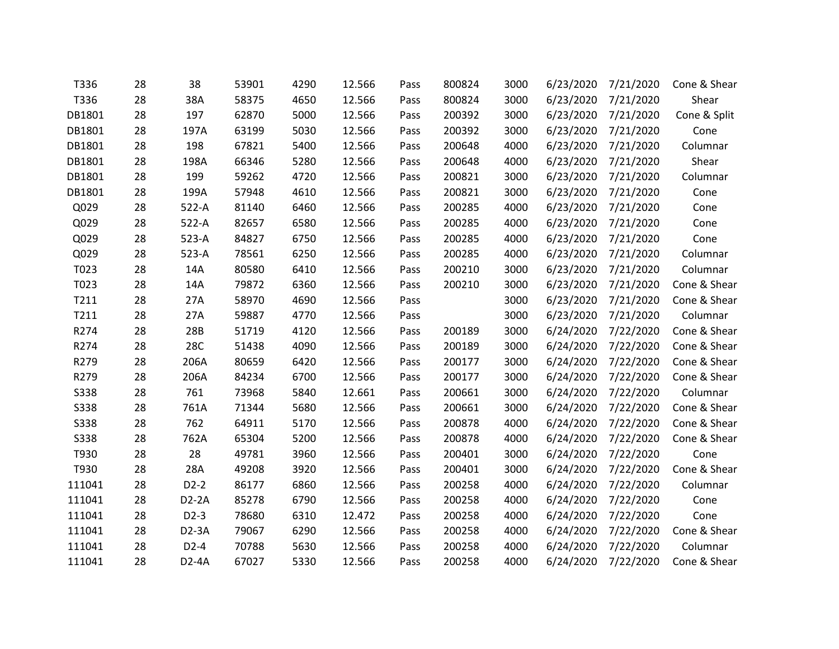| T336        | 28 | 38                 | 53901 | 4290 | 12.566 | Pass | 800824 | 3000 | 6/23/2020 | 7/21/2020 | Cone & Shear |
|-------------|----|--------------------|-------|------|--------|------|--------|------|-----------|-----------|--------------|
| T336        | 28 | 38A                | 58375 | 4650 | 12.566 | Pass | 800824 | 3000 | 6/23/2020 | 7/21/2020 | Shear        |
| DB1801      | 28 | 197                | 62870 | 5000 | 12.566 | Pass | 200392 | 3000 | 6/23/2020 | 7/21/2020 | Cone & Split |
| DB1801      | 28 | 197A               | 63199 | 5030 | 12.566 | Pass | 200392 | 3000 | 6/23/2020 | 7/21/2020 | Cone         |
| DB1801      | 28 | 198                | 67821 | 5400 | 12.566 | Pass | 200648 | 4000 | 6/23/2020 | 7/21/2020 | Columnar     |
| DB1801      | 28 | 198A               | 66346 | 5280 | 12.566 | Pass | 200648 | 4000 | 6/23/2020 | 7/21/2020 | Shear        |
| DB1801      | 28 | 199                | 59262 | 4720 | 12.566 | Pass | 200821 | 3000 | 6/23/2020 | 7/21/2020 | Columnar     |
| DB1801      | 28 | 199A               | 57948 | 4610 | 12.566 | Pass | 200821 | 3000 | 6/23/2020 | 7/21/2020 | Cone         |
| Q029        | 28 | $522-A$            | 81140 | 6460 | 12.566 | Pass | 200285 | 4000 | 6/23/2020 | 7/21/2020 | Cone         |
| Q029        | 28 | $522-A$            | 82657 | 6580 | 12.566 | Pass | 200285 | 4000 | 6/23/2020 | 7/21/2020 | Cone         |
| Q029        | 28 | $523-A$            | 84827 | 6750 | 12.566 | Pass | 200285 | 4000 | 6/23/2020 | 7/21/2020 | Cone         |
| Q029        | 28 | 523-A              | 78561 | 6250 | 12.566 | Pass | 200285 | 4000 | 6/23/2020 | 7/21/2020 | Columnar     |
| T023        | 28 | 14A                | 80580 | 6410 | 12.566 | Pass | 200210 | 3000 | 6/23/2020 | 7/21/2020 | Columnar     |
| T023        | 28 | 14A                | 79872 | 6360 | 12.566 | Pass | 200210 | 3000 | 6/23/2020 | 7/21/2020 | Cone & Shear |
| T211        | 28 | 27A                | 58970 | 4690 | 12.566 | Pass |        | 3000 | 6/23/2020 | 7/21/2020 | Cone & Shear |
| T211        | 28 | 27A                | 59887 | 4770 | 12.566 | Pass |        | 3000 | 6/23/2020 | 7/21/2020 | Columnar     |
| R274        | 28 | 28B                | 51719 | 4120 | 12.566 | Pass | 200189 | 3000 | 6/24/2020 | 7/22/2020 | Cone & Shear |
| R274        | 28 | <b>28C</b>         | 51438 | 4090 | 12.566 | Pass | 200189 | 3000 | 6/24/2020 | 7/22/2020 | Cone & Shear |
| R279        | 28 | 206A               | 80659 | 6420 | 12.566 | Pass | 200177 | 3000 | 6/24/2020 | 7/22/2020 | Cone & Shear |
| R279        | 28 | 206A               | 84234 | 6700 | 12.566 | Pass | 200177 | 3000 | 6/24/2020 | 7/22/2020 | Cone & Shear |
| <b>S338</b> | 28 | 761                | 73968 | 5840 | 12.661 | Pass | 200661 | 3000 | 6/24/2020 | 7/22/2020 | Columnar     |
| <b>S338</b> | 28 | 761A               | 71344 | 5680 | 12.566 | Pass | 200661 | 3000 | 6/24/2020 | 7/22/2020 | Cone & Shear |
| <b>S338</b> | 28 | 762                | 64911 | 5170 | 12.566 | Pass | 200878 | 4000 | 6/24/2020 | 7/22/2020 | Cone & Shear |
| <b>S338</b> | 28 | 762A               | 65304 | 5200 | 12.566 | Pass | 200878 | 4000 | 6/24/2020 | 7/22/2020 | Cone & Shear |
| T930        | 28 | 28                 | 49781 | 3960 | 12.566 | Pass | 200401 | 3000 | 6/24/2020 | 7/22/2020 | Cone         |
| T930        | 28 | 28A                | 49208 | 3920 | 12.566 | Pass | 200401 | 3000 | 6/24/2020 | 7/22/2020 | Cone & Shear |
| 111041      | 28 | $D2-2$             | 86177 | 6860 | 12.566 | Pass | 200258 | 4000 | 6/24/2020 | 7/22/2020 | Columnar     |
| 111041      | 28 | $D2-2A$            | 85278 | 6790 | 12.566 | Pass | 200258 | 4000 | 6/24/2020 | 7/22/2020 | Cone         |
| 111041      | 28 | $D2-3$             | 78680 | 6310 | 12.472 | Pass | 200258 | 4000 | 6/24/2020 | 7/22/2020 | Cone         |
| 111041      | 28 | $D2-3A$            | 79067 | 6290 | 12.566 | Pass | 200258 | 4000 | 6/24/2020 | 7/22/2020 | Cone & Shear |
| 111041      | 28 | $D2-4$             | 70788 | 5630 | 12.566 | Pass | 200258 | 4000 | 6/24/2020 | 7/22/2020 | Columnar     |
| 111041      | 28 | D <sub>2</sub> -4A | 67027 | 5330 | 12.566 | Pass | 200258 | 4000 | 6/24/2020 | 7/22/2020 | Cone & Shear |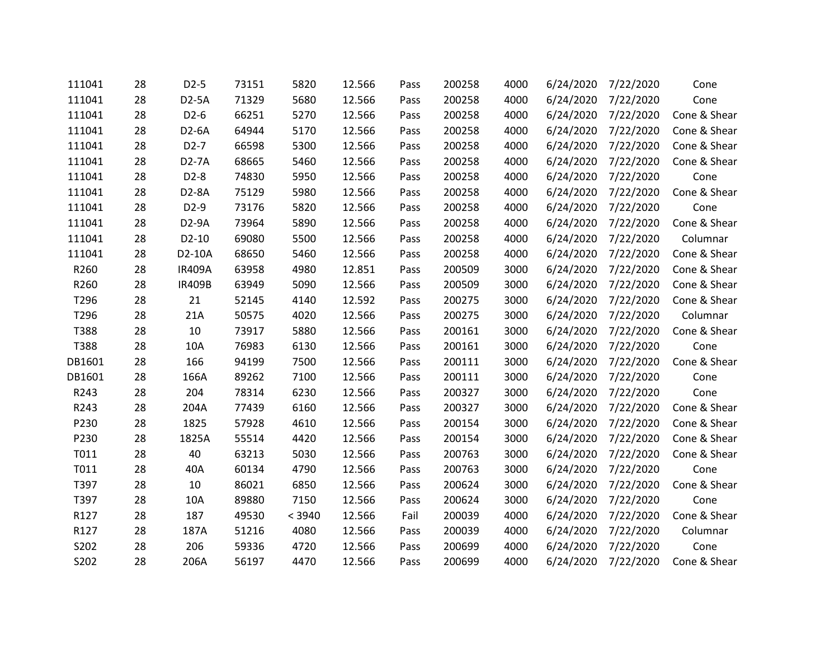| 111041 | 28 | $D2-5$            | 73151 | 5820   | 12.566 | Pass | 200258 | 4000 | 6/24/2020 | 7/22/2020 | Cone         |
|--------|----|-------------------|-------|--------|--------|------|--------|------|-----------|-----------|--------------|
| 111041 | 28 | D2-5A             | 71329 | 5680   | 12.566 | Pass | 200258 | 4000 | 6/24/2020 | 7/22/2020 | Cone         |
| 111041 | 28 | $D2-6$            | 66251 | 5270   | 12.566 | Pass | 200258 | 4000 | 6/24/2020 | 7/22/2020 | Cone & Shear |
| 111041 | 28 | D2-6A             | 64944 | 5170   | 12.566 | Pass | 200258 | 4000 | 6/24/2020 | 7/22/2020 | Cone & Shear |
| 111041 | 28 | $D2-7$            | 66598 | 5300   | 12.566 | Pass | 200258 | 4000 | 6/24/2020 | 7/22/2020 | Cone & Shear |
| 111041 | 28 | D2-7A             | 68665 | 5460   | 12.566 | Pass | 200258 | 4000 | 6/24/2020 | 7/22/2020 | Cone & Shear |
| 111041 | 28 | $D2-8$            | 74830 | 5950   | 12.566 | Pass | 200258 | 4000 | 6/24/2020 | 7/22/2020 | Cone         |
| 111041 | 28 | D2-8A             | 75129 | 5980   | 12.566 | Pass | 200258 | 4000 | 6/24/2020 | 7/22/2020 | Cone & Shear |
| 111041 | 28 | D <sub>2</sub> -9 | 73176 | 5820   | 12.566 | Pass | 200258 | 4000 | 6/24/2020 | 7/22/2020 | Cone         |
| 111041 | 28 | D2-9A             | 73964 | 5890   | 12.566 | Pass | 200258 | 4000 | 6/24/2020 | 7/22/2020 | Cone & Shear |
| 111041 | 28 | $D2-10$           | 69080 | 5500   | 12.566 | Pass | 200258 | 4000 | 6/24/2020 | 7/22/2020 | Columnar     |
| 111041 | 28 | D2-10A            | 68650 | 5460   | 12.566 | Pass | 200258 | 4000 | 6/24/2020 | 7/22/2020 | Cone & Shear |
| R260   | 28 | <b>IR409A</b>     | 63958 | 4980   | 12.851 | Pass | 200509 | 3000 | 6/24/2020 | 7/22/2020 | Cone & Shear |
| R260   | 28 | <b>IR409B</b>     | 63949 | 5090   | 12.566 | Pass | 200509 | 3000 | 6/24/2020 | 7/22/2020 | Cone & Shear |
| T296   | 28 | 21                | 52145 | 4140   | 12.592 | Pass | 200275 | 3000 | 6/24/2020 | 7/22/2020 | Cone & Shear |
| T296   | 28 | 21A               | 50575 | 4020   | 12.566 | Pass | 200275 | 3000 | 6/24/2020 | 7/22/2020 | Columnar     |
| T388   | 28 | 10                | 73917 | 5880   | 12.566 | Pass | 200161 | 3000 | 6/24/2020 | 7/22/2020 | Cone & Shear |
| T388   | 28 | 10A               | 76983 | 6130   | 12.566 | Pass | 200161 | 3000 | 6/24/2020 | 7/22/2020 | Cone         |
| DB1601 | 28 | 166               | 94199 | 7500   | 12.566 | Pass | 200111 | 3000 | 6/24/2020 | 7/22/2020 | Cone & Shear |
| DB1601 | 28 | 166A              | 89262 | 7100   | 12.566 | Pass | 200111 | 3000 | 6/24/2020 | 7/22/2020 | Cone         |
| R243   | 28 | 204               | 78314 | 6230   | 12.566 | Pass | 200327 | 3000 | 6/24/2020 | 7/22/2020 | Cone         |
| R243   | 28 | 204A              | 77439 | 6160   | 12.566 | Pass | 200327 | 3000 | 6/24/2020 | 7/22/2020 | Cone & Shear |
| P230   | 28 | 1825              | 57928 | 4610   | 12.566 | Pass | 200154 | 3000 | 6/24/2020 | 7/22/2020 | Cone & Shear |
| P230   | 28 | 1825A             | 55514 | 4420   | 12.566 | Pass | 200154 | 3000 | 6/24/2020 | 7/22/2020 | Cone & Shear |
| T011   | 28 | 40                | 63213 | 5030   | 12.566 | Pass | 200763 | 3000 | 6/24/2020 | 7/22/2020 | Cone & Shear |
| T011   | 28 | 40A               | 60134 | 4790   | 12.566 | Pass | 200763 | 3000 | 6/24/2020 | 7/22/2020 | Cone         |
| T397   | 28 | 10                | 86021 | 6850   | 12.566 | Pass | 200624 | 3000 | 6/24/2020 | 7/22/2020 | Cone & Shear |
| T397   | 28 | 10A               | 89880 | 7150   | 12.566 | Pass | 200624 | 3000 | 6/24/2020 | 7/22/2020 | Cone         |
| R127   | 28 | 187               | 49530 | < 3940 | 12.566 | Fail | 200039 | 4000 | 6/24/2020 | 7/22/2020 | Cone & Shear |
| R127   | 28 | 187A              | 51216 | 4080   | 12.566 | Pass | 200039 | 4000 | 6/24/2020 | 7/22/2020 | Columnar     |
| S202   | 28 | 206               | 59336 | 4720   | 12.566 | Pass | 200699 | 4000 | 6/24/2020 | 7/22/2020 | Cone         |
| S202   | 28 | 206A              | 56197 | 4470   | 12.566 | Pass | 200699 | 4000 | 6/24/2020 | 7/22/2020 | Cone & Shear |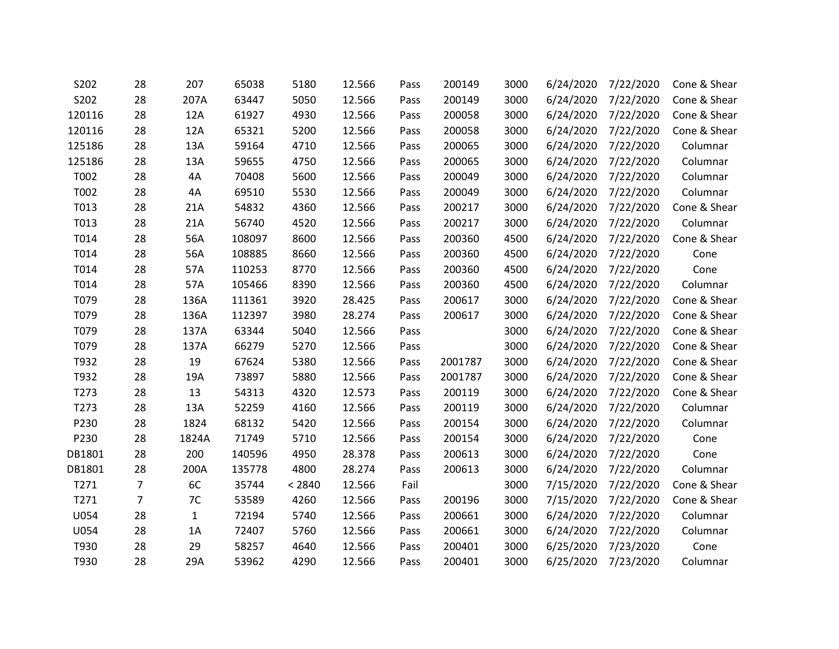| S202             | 28             | 207         | 65038  | 5180   | 12.566 | Pass | 200149  | 3000 | 6/24/2020 | 7/22/2020 | Cone & Shear |
|------------------|----------------|-------------|--------|--------|--------|------|---------|------|-----------|-----------|--------------|
| S202             | 28             | 207A        | 63447  | 5050   | 12.566 | Pass | 200149  | 3000 | 6/24/2020 | 7/22/2020 | Cone & Shear |
| 120116           | 28             | 12A         | 61927  | 4930   | 12.566 | Pass | 200058  | 3000 | 6/24/2020 | 7/22/2020 | Cone & Shear |
| 120116           | 28             | 12A         | 65321  | 5200   | 12.566 | Pass | 200058  | 3000 | 6/24/2020 | 7/22/2020 | Cone & Shear |
| 125186           | 28             | 13A         | 59164  | 4710   | 12.566 | Pass | 200065  | 3000 | 6/24/2020 | 7/22/2020 | Columnar     |
| 125186           | 28             | 13A         | 59655  | 4750   | 12.566 | Pass | 200065  | 3000 | 6/24/2020 | 7/22/2020 | Columnar     |
| T002             | 28             | 4A          | 70408  | 5600   | 12.566 | Pass | 200049  | 3000 | 6/24/2020 | 7/22/2020 | Columnar     |
| T002             | 28             | 4A          | 69510  | 5530   | 12.566 | Pass | 200049  | 3000 | 6/24/2020 | 7/22/2020 | Columnar     |
| T013             | 28             | 21A         | 54832  | 4360   | 12.566 | Pass | 200217  | 3000 | 6/24/2020 | 7/22/2020 | Cone & Shear |
| T013             | 28             | 21A         | 56740  | 4520   | 12.566 | Pass | 200217  | 3000 | 6/24/2020 | 7/22/2020 | Columnar     |
| T014             | 28             | 56A         | 108097 | 8600   | 12.566 | Pass | 200360  | 4500 | 6/24/2020 | 7/22/2020 | Cone & Shear |
| T014             | 28             | 56A         | 108885 | 8660   | 12.566 | Pass | 200360  | 4500 | 6/24/2020 | 7/22/2020 | Cone         |
| T014             | 28             | 57A         | 110253 | 8770   | 12.566 | Pass | 200360  | 4500 | 6/24/2020 | 7/22/2020 | Cone         |
| T014             | 28             | 57A         | 105466 | 8390   | 12.566 | Pass | 200360  | 4500 | 6/24/2020 | 7/22/2020 | Columnar     |
| T079             | 28             | 136A        | 111361 | 3920   | 28.425 | Pass | 200617  | 3000 | 6/24/2020 | 7/22/2020 | Cone & Shear |
| T079             | 28             | 136A        | 112397 | 3980   | 28.274 | Pass | 200617  | 3000 | 6/24/2020 | 7/22/2020 | Cone & Shear |
| T079             | 28             | 137A        | 63344  | 5040   | 12.566 | Pass |         | 3000 | 6/24/2020 | 7/22/2020 | Cone & Shear |
| T079             | 28             | 137A        | 66279  | 5270   | 12.566 | Pass |         | 3000 | 6/24/2020 | 7/22/2020 | Cone & Shear |
| T932             | 28             | 19          | 67624  | 5380   | 12.566 | Pass | 2001787 | 3000 | 6/24/2020 | 7/22/2020 | Cone & Shear |
| T932             | 28             | 19A         | 73897  | 5880   | 12.566 | Pass | 2001787 | 3000 | 6/24/2020 | 7/22/2020 | Cone & Shear |
| T <sub>273</sub> | 28             | 13          | 54313  | 4320   | 12.573 | Pass | 200119  | 3000 | 6/24/2020 | 7/22/2020 | Cone & Shear |
| T273             | 28             | 13A         | 52259  | 4160   | 12.566 | Pass | 200119  | 3000 | 6/24/2020 | 7/22/2020 | Columnar     |
| P230             | 28             | 1824        | 68132  | 5420   | 12.566 | Pass | 200154  | 3000 | 6/24/2020 | 7/22/2020 | Columnar     |
| P230             | 28             | 1824A       | 71749  | 5710   | 12.566 | Pass | 200154  | 3000 | 6/24/2020 | 7/22/2020 | Cone         |
| DB1801           | 28             | 200         | 140596 | 4950   | 28.378 | Pass | 200613  | 3000 | 6/24/2020 | 7/22/2020 | Cone         |
| DB1801           | 28             | 200A        | 135778 | 4800   | 28.274 | Pass | 200613  | 3000 | 6/24/2020 | 7/22/2020 | Columnar     |
| T271             | $\overline{7}$ | 6C          | 35744  | < 2840 | 12.566 | Fail |         | 3000 | 7/15/2020 | 7/22/2020 | Cone & Shear |
| T271             | $\overline{7}$ | 7C          | 53589  | 4260   | 12.566 | Pass | 200196  | 3000 | 7/15/2020 | 7/22/2020 | Cone & Shear |
| U054             | 28             | $\mathbf 1$ | 72194  | 5740   | 12.566 | Pass | 200661  | 3000 | 6/24/2020 | 7/22/2020 | Columnar     |
| U054             | 28             | 1A          | 72407  | 5760   | 12.566 | Pass | 200661  | 3000 | 6/24/2020 | 7/22/2020 | Columnar     |
| T930             | 28             | 29          | 58257  | 4640   | 12.566 | Pass | 200401  | 3000 | 6/25/2020 | 7/23/2020 | Cone         |
| T930             | 28             | 29A         | 53962  | 4290   | 12.566 | Pass | 200401  | 3000 | 6/25/2020 | 7/23/2020 | Columnar     |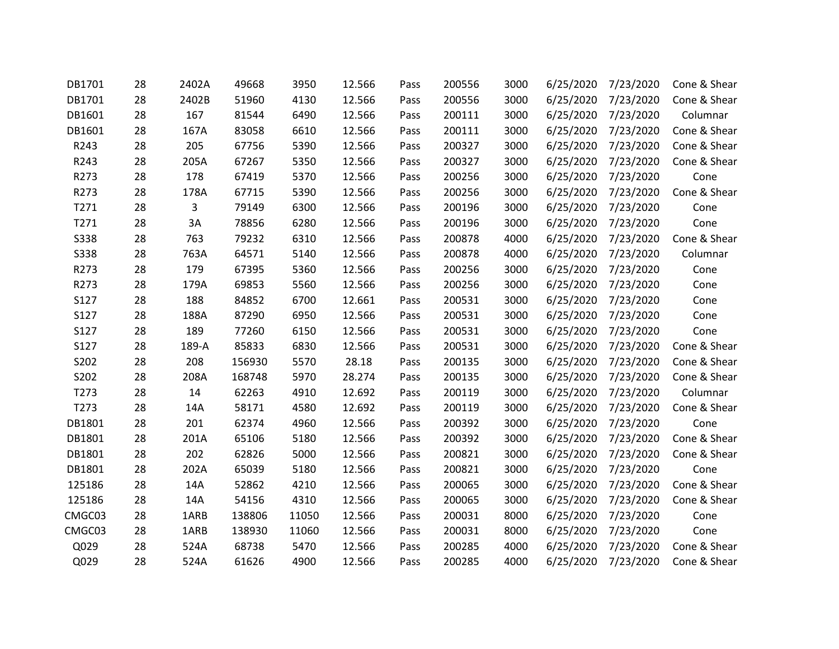| DB1701      | 28 | 2402A | 49668  | 3950  | 12.566 | Pass | 200556 | 3000 | 6/25/2020 | 7/23/2020 | Cone & Shear |
|-------------|----|-------|--------|-------|--------|------|--------|------|-----------|-----------|--------------|
| DB1701      | 28 | 2402B | 51960  | 4130  | 12.566 | Pass | 200556 | 3000 | 6/25/2020 | 7/23/2020 | Cone & Shear |
| DB1601      | 28 | 167   | 81544  | 6490  | 12.566 | Pass | 200111 | 3000 | 6/25/2020 | 7/23/2020 | Columnar     |
| DB1601      | 28 | 167A  | 83058  | 6610  | 12.566 | Pass | 200111 | 3000 | 6/25/2020 | 7/23/2020 | Cone & Shear |
| R243        | 28 | 205   | 67756  | 5390  | 12.566 | Pass | 200327 | 3000 | 6/25/2020 | 7/23/2020 | Cone & Shear |
| R243        | 28 | 205A  | 67267  | 5350  | 12.566 | Pass | 200327 | 3000 | 6/25/2020 | 7/23/2020 | Cone & Shear |
| R273        | 28 | 178   | 67419  | 5370  | 12.566 | Pass | 200256 | 3000 | 6/25/2020 | 7/23/2020 | Cone         |
| R273        | 28 | 178A  | 67715  | 5390  | 12.566 | Pass | 200256 | 3000 | 6/25/2020 | 7/23/2020 | Cone & Shear |
| T271        | 28 | 3     | 79149  | 6300  | 12.566 | Pass | 200196 | 3000 | 6/25/2020 | 7/23/2020 | Cone         |
| T271        | 28 | 3A    | 78856  | 6280  | 12.566 | Pass | 200196 | 3000 | 6/25/2020 | 7/23/2020 | Cone         |
| <b>S338</b> | 28 | 763   | 79232  | 6310  | 12.566 | Pass | 200878 | 4000 | 6/25/2020 | 7/23/2020 | Cone & Shear |
| <b>S338</b> | 28 | 763A  | 64571  | 5140  | 12.566 | Pass | 200878 | 4000 | 6/25/2020 | 7/23/2020 | Columnar     |
| R273        | 28 | 179   | 67395  | 5360  | 12.566 | Pass | 200256 | 3000 | 6/25/2020 | 7/23/2020 | Cone         |
| R273        | 28 | 179A  | 69853  | 5560  | 12.566 | Pass | 200256 | 3000 | 6/25/2020 | 7/23/2020 | Cone         |
| S127        | 28 | 188   | 84852  | 6700  | 12.661 | Pass | 200531 | 3000 | 6/25/2020 | 7/23/2020 | Cone         |
| S127        | 28 | 188A  | 87290  | 6950  | 12.566 | Pass | 200531 | 3000 | 6/25/2020 | 7/23/2020 | Cone         |
| S127        | 28 | 189   | 77260  | 6150  | 12.566 | Pass | 200531 | 3000 | 6/25/2020 | 7/23/2020 | Cone         |
| S127        | 28 | 189-A | 85833  | 6830  | 12.566 | Pass | 200531 | 3000 | 6/25/2020 | 7/23/2020 | Cone & Shear |
| S202        | 28 | 208   | 156930 | 5570  | 28.18  | Pass | 200135 | 3000 | 6/25/2020 | 7/23/2020 | Cone & Shear |
| S202        | 28 | 208A  | 168748 | 5970  | 28.274 | Pass | 200135 | 3000 | 6/25/2020 | 7/23/2020 | Cone & Shear |
| T273        | 28 | 14    | 62263  | 4910  | 12.692 | Pass | 200119 | 3000 | 6/25/2020 | 7/23/2020 | Columnar     |
| T273        | 28 | 14A   | 58171  | 4580  | 12.692 | Pass | 200119 | 3000 | 6/25/2020 | 7/23/2020 | Cone & Shear |
| DB1801      | 28 | 201   | 62374  | 4960  | 12.566 | Pass | 200392 | 3000 | 6/25/2020 | 7/23/2020 | Cone         |
| DB1801      | 28 | 201A  | 65106  | 5180  | 12.566 | Pass | 200392 | 3000 | 6/25/2020 | 7/23/2020 | Cone & Shear |
| DB1801      | 28 | 202   | 62826  | 5000  | 12.566 | Pass | 200821 | 3000 | 6/25/2020 | 7/23/2020 | Cone & Shear |
| DB1801      | 28 | 202A  | 65039  | 5180  | 12.566 | Pass | 200821 | 3000 | 6/25/2020 | 7/23/2020 | Cone         |
| 125186      | 28 | 14A   | 52862  | 4210  | 12.566 | Pass | 200065 | 3000 | 6/25/2020 | 7/23/2020 | Cone & Shear |
| 125186      | 28 | 14A   | 54156  | 4310  | 12.566 | Pass | 200065 | 3000 | 6/25/2020 | 7/23/2020 | Cone & Shear |
| CMGC03      | 28 | 1ARB  | 138806 | 11050 | 12.566 | Pass | 200031 | 8000 | 6/25/2020 | 7/23/2020 | Cone         |
| CMGC03      | 28 | 1ARB  | 138930 | 11060 | 12.566 | Pass | 200031 | 8000 | 6/25/2020 | 7/23/2020 | Cone         |
| Q029        | 28 | 524A  | 68738  | 5470  | 12.566 | Pass | 200285 | 4000 | 6/25/2020 | 7/23/2020 | Cone & Shear |
| Q029        | 28 | 524A  | 61626  | 4900  | 12.566 | Pass | 200285 | 4000 | 6/25/2020 | 7/23/2020 | Cone & Shear |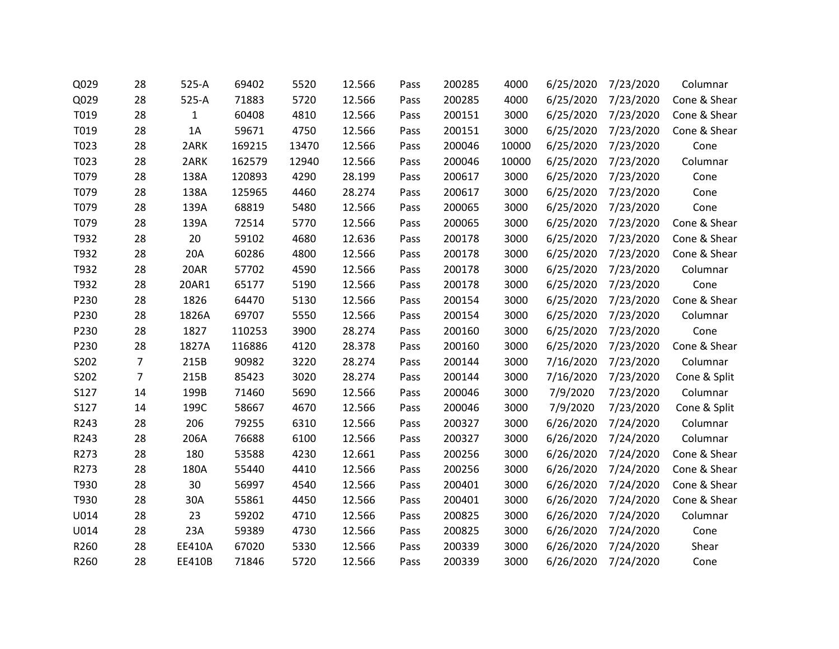| Q029 | 28             | 525-A         | 69402  | 5520  | 12.566 | Pass | 200285 | 4000  | 6/25/2020 | 7/23/2020 | Columnar     |
|------|----------------|---------------|--------|-------|--------|------|--------|-------|-----------|-----------|--------------|
| Q029 | 28             | 525-A         | 71883  | 5720  | 12.566 | Pass | 200285 | 4000  | 6/25/2020 | 7/23/2020 | Cone & Shear |
| T019 | 28             | $\mathbf{1}$  | 60408  | 4810  | 12.566 | Pass | 200151 | 3000  | 6/25/2020 | 7/23/2020 | Cone & Shear |
| T019 | 28             | 1A            | 59671  | 4750  | 12.566 | Pass | 200151 | 3000  | 6/25/2020 | 7/23/2020 | Cone & Shear |
| T023 | 28             | 2ARK          | 169215 | 13470 | 12.566 | Pass | 200046 | 10000 | 6/25/2020 | 7/23/2020 | Cone         |
| T023 | 28             | 2ARK          | 162579 | 12940 | 12.566 | Pass | 200046 | 10000 | 6/25/2020 | 7/23/2020 | Columnar     |
| T079 | 28             | 138A          | 120893 | 4290  | 28.199 | Pass | 200617 | 3000  | 6/25/2020 | 7/23/2020 | Cone         |
| T079 | 28             | 138A          | 125965 | 4460  | 28.274 | Pass | 200617 | 3000  | 6/25/2020 | 7/23/2020 | Cone         |
| T079 | 28             | 139A          | 68819  | 5480  | 12.566 | Pass | 200065 | 3000  | 6/25/2020 | 7/23/2020 | Cone         |
| T079 | 28             | 139A          | 72514  | 5770  | 12.566 | Pass | 200065 | 3000  | 6/25/2020 | 7/23/2020 | Cone & Shear |
| T932 | 28             | 20            | 59102  | 4680  | 12.636 | Pass | 200178 | 3000  | 6/25/2020 | 7/23/2020 | Cone & Shear |
| T932 | 28             | 20A           | 60286  | 4800  | 12.566 | Pass | 200178 | 3000  | 6/25/2020 | 7/23/2020 | Cone & Shear |
| T932 | 28             | 20AR          | 57702  | 4590  | 12.566 | Pass | 200178 | 3000  | 6/25/2020 | 7/23/2020 | Columnar     |
| T932 | 28             | 20AR1         | 65177  | 5190  | 12.566 | Pass | 200178 | 3000  | 6/25/2020 | 7/23/2020 | Cone         |
| P230 | 28             | 1826          | 64470  | 5130  | 12.566 | Pass | 200154 | 3000  | 6/25/2020 | 7/23/2020 | Cone & Shear |
| P230 | 28             | 1826A         | 69707  | 5550  | 12.566 | Pass | 200154 | 3000  | 6/25/2020 | 7/23/2020 | Columnar     |
| P230 | 28             | 1827          | 110253 | 3900  | 28.274 | Pass | 200160 | 3000  | 6/25/2020 | 7/23/2020 | Cone         |
| P230 | 28             | 1827A         | 116886 | 4120  | 28.378 | Pass | 200160 | 3000  | 6/25/2020 | 7/23/2020 | Cone & Shear |
| S202 | $\overline{7}$ | 215B          | 90982  | 3220  | 28.274 | Pass | 200144 | 3000  | 7/16/2020 | 7/23/2020 | Columnar     |
| S202 | $\overline{7}$ | 215B          | 85423  | 3020  | 28.274 | Pass | 200144 | 3000  | 7/16/2020 | 7/23/2020 | Cone & Split |
| S127 | 14             | 199B          | 71460  | 5690  | 12.566 | Pass | 200046 | 3000  | 7/9/2020  | 7/23/2020 | Columnar     |
| S127 | 14             | 199C          | 58667  | 4670  | 12.566 | Pass | 200046 | 3000  | 7/9/2020  | 7/23/2020 | Cone & Split |
| R243 | 28             | 206           | 79255  | 6310  | 12.566 | Pass | 200327 | 3000  | 6/26/2020 | 7/24/2020 | Columnar     |
| R243 | 28             | 206A          | 76688  | 6100  | 12.566 | Pass | 200327 | 3000  | 6/26/2020 | 7/24/2020 | Columnar     |
| R273 | 28             | 180           | 53588  | 4230  | 12.661 | Pass | 200256 | 3000  | 6/26/2020 | 7/24/2020 | Cone & Shear |
| R273 | 28             | 180A          | 55440  | 4410  | 12.566 | Pass | 200256 | 3000  | 6/26/2020 | 7/24/2020 | Cone & Shear |
| T930 | 28             | 30            | 56997  | 4540  | 12.566 | Pass | 200401 | 3000  | 6/26/2020 | 7/24/2020 | Cone & Shear |
| T930 | 28             | 30A           | 55861  | 4450  | 12.566 | Pass | 200401 | 3000  | 6/26/2020 | 7/24/2020 | Cone & Shear |
| U014 | 28             | 23            | 59202  | 4710  | 12.566 | Pass | 200825 | 3000  | 6/26/2020 | 7/24/2020 | Columnar     |
| U014 | 28             | 23A           | 59389  | 4730  | 12.566 | Pass | 200825 | 3000  | 6/26/2020 | 7/24/2020 | Cone         |
| R260 | 28             | EE410A        | 67020  | 5330  | 12.566 | Pass | 200339 | 3000  | 6/26/2020 | 7/24/2020 | Shear        |
| R260 | 28             | <b>EE410B</b> | 71846  | 5720  | 12.566 | Pass | 200339 | 3000  | 6/26/2020 | 7/24/2020 | Cone         |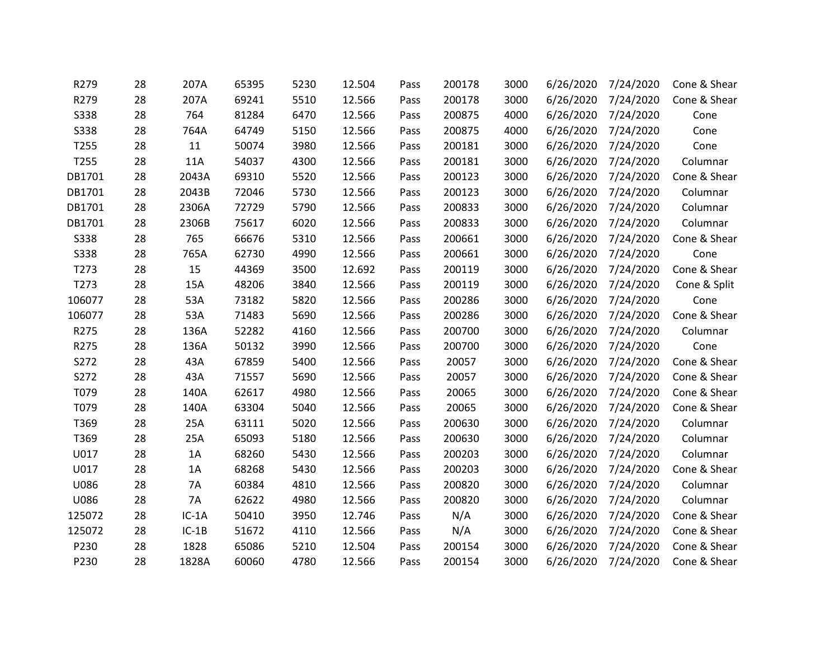| R279        | 28 | 207A    | 65395 | 5230 | 12.504 | Pass | 200178 | 3000 | 6/26/2020 | 7/24/2020 | Cone & Shear |
|-------------|----|---------|-------|------|--------|------|--------|------|-----------|-----------|--------------|
| R279        | 28 | 207A    | 69241 | 5510 | 12.566 | Pass | 200178 | 3000 | 6/26/2020 | 7/24/2020 | Cone & Shear |
| <b>S338</b> | 28 | 764     | 81284 | 6470 | 12.566 | Pass | 200875 | 4000 | 6/26/2020 | 7/24/2020 | Cone         |
| <b>S338</b> | 28 | 764A    | 64749 | 5150 | 12.566 | Pass | 200875 | 4000 | 6/26/2020 | 7/24/2020 | Cone         |
| T255        | 28 | 11      | 50074 | 3980 | 12.566 | Pass | 200181 | 3000 | 6/26/2020 | 7/24/2020 | Cone         |
| T255        | 28 | 11A     | 54037 | 4300 | 12.566 | Pass | 200181 | 3000 | 6/26/2020 | 7/24/2020 | Columnar     |
| DB1701      | 28 | 2043A   | 69310 | 5520 | 12.566 | Pass | 200123 | 3000 | 6/26/2020 | 7/24/2020 | Cone & Shear |
| DB1701      | 28 | 2043B   | 72046 | 5730 | 12.566 | Pass | 200123 | 3000 | 6/26/2020 | 7/24/2020 | Columnar     |
| DB1701      | 28 | 2306A   | 72729 | 5790 | 12.566 | Pass | 200833 | 3000 | 6/26/2020 | 7/24/2020 | Columnar     |
| DB1701      | 28 | 2306B   | 75617 | 6020 | 12.566 | Pass | 200833 | 3000 | 6/26/2020 | 7/24/2020 | Columnar     |
| <b>S338</b> | 28 | 765     | 66676 | 5310 | 12.566 | Pass | 200661 | 3000 | 6/26/2020 | 7/24/2020 | Cone & Shear |
| <b>S338</b> | 28 | 765A    | 62730 | 4990 | 12.566 | Pass | 200661 | 3000 | 6/26/2020 | 7/24/2020 | Cone         |
| T273        | 28 | 15      | 44369 | 3500 | 12.692 | Pass | 200119 | 3000 | 6/26/2020 | 7/24/2020 | Cone & Shear |
| T273        | 28 | 15A     | 48206 | 3840 | 12.566 | Pass | 200119 | 3000 | 6/26/2020 | 7/24/2020 | Cone & Split |
| 106077      | 28 | 53A     | 73182 | 5820 | 12.566 | Pass | 200286 | 3000 | 6/26/2020 | 7/24/2020 | Cone         |
| 106077      | 28 | 53A     | 71483 | 5690 | 12.566 | Pass | 200286 | 3000 | 6/26/2020 | 7/24/2020 | Cone & Shear |
| R275        | 28 | 136A    | 52282 | 4160 | 12.566 | Pass | 200700 | 3000 | 6/26/2020 | 7/24/2020 | Columnar     |
| R275        | 28 | 136A    | 50132 | 3990 | 12.566 | Pass | 200700 | 3000 | 6/26/2020 | 7/24/2020 | Cone         |
| S272        | 28 | 43A     | 67859 | 5400 | 12.566 | Pass | 20057  | 3000 | 6/26/2020 | 7/24/2020 | Cone & Shear |
| S272        | 28 | 43A     | 71557 | 5690 | 12.566 | Pass | 20057  | 3000 | 6/26/2020 | 7/24/2020 | Cone & Shear |
| T079        | 28 | 140A    | 62617 | 4980 | 12.566 | Pass | 20065  | 3000 | 6/26/2020 | 7/24/2020 | Cone & Shear |
| T079        | 28 | 140A    | 63304 | 5040 | 12.566 | Pass | 20065  | 3000 | 6/26/2020 | 7/24/2020 | Cone & Shear |
| T369        | 28 | 25A     | 63111 | 5020 | 12.566 | Pass | 200630 | 3000 | 6/26/2020 | 7/24/2020 | Columnar     |
| T369        | 28 | 25A     | 65093 | 5180 | 12.566 | Pass | 200630 | 3000 | 6/26/2020 | 7/24/2020 | Columnar     |
| U017        | 28 | 1A      | 68260 | 5430 | 12.566 | Pass | 200203 | 3000 | 6/26/2020 | 7/24/2020 | Columnar     |
| U017        | 28 | 1A      | 68268 | 5430 | 12.566 | Pass | 200203 | 3000 | 6/26/2020 | 7/24/2020 | Cone & Shear |
| U086        | 28 | 7A      | 60384 | 4810 | 12.566 | Pass | 200820 | 3000 | 6/26/2020 | 7/24/2020 | Columnar     |
| U086        | 28 | 7A      | 62622 | 4980 | 12.566 | Pass | 200820 | 3000 | 6/26/2020 | 7/24/2020 | Columnar     |
| 125072      | 28 | $IC-1A$ | 50410 | 3950 | 12.746 | Pass | N/A    | 3000 | 6/26/2020 | 7/24/2020 | Cone & Shear |
| 125072      | 28 | $IC-1B$ | 51672 | 4110 | 12.566 | Pass | N/A    | 3000 | 6/26/2020 | 7/24/2020 | Cone & Shear |
| P230        | 28 | 1828    | 65086 | 5210 | 12.504 | Pass | 200154 | 3000 | 6/26/2020 | 7/24/2020 | Cone & Shear |
| P230        | 28 | 1828A   | 60060 | 4780 | 12.566 | Pass | 200154 | 3000 | 6/26/2020 | 7/24/2020 | Cone & Shear |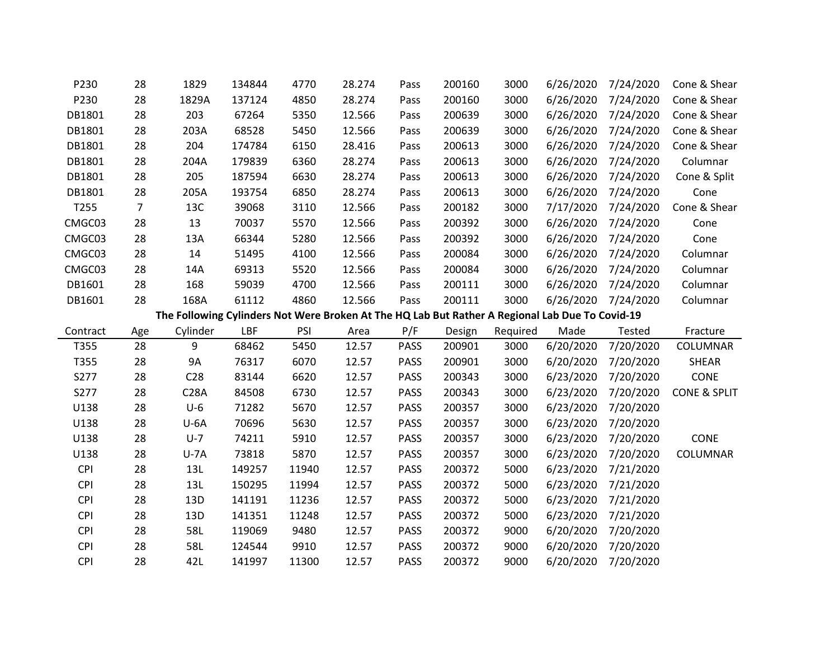| P230     | 28  | 1829                                                                                            | 134844 | 4770       | 28.274 | Pass        | 200160 | 3000     | 6/26/2020 | 7/24/2020 | Cone & Shear            |
|----------|-----|-------------------------------------------------------------------------------------------------|--------|------------|--------|-------------|--------|----------|-----------|-----------|-------------------------|
| P230     | 28  | 1829A                                                                                           | 137124 | 4850       | 28.274 | Pass        | 200160 | 3000     | 6/26/2020 | 7/24/2020 | Cone & Shear            |
| DB1801   | 28  | 203                                                                                             | 67264  | 5350       | 12.566 | Pass        | 200639 | 3000     | 6/26/2020 | 7/24/2020 | Cone & Shear            |
| DB1801   | 28  | 203A                                                                                            | 68528  | 5450       | 12.566 | Pass        | 200639 | 3000     | 6/26/2020 | 7/24/2020 | Cone & Shear            |
| DB1801   | 28  | 204                                                                                             | 174784 | 6150       | 28.416 | Pass        | 200613 | 3000     | 6/26/2020 | 7/24/2020 | Cone & Shear            |
| DB1801   | 28  | 204A                                                                                            | 179839 | 6360       | 28.274 | Pass        | 200613 | 3000     | 6/26/2020 | 7/24/2020 | Columnar                |
| DB1801   | 28  | 205                                                                                             | 187594 | 6630       | 28.274 | Pass        | 200613 | 3000     | 6/26/2020 | 7/24/2020 | Cone & Split            |
| DB1801   | 28  | 205A                                                                                            | 193754 | 6850       | 28.274 | Pass        | 200613 | 3000     | 6/26/2020 | 7/24/2020 | Cone                    |
| T255     | 7   | 13C                                                                                             | 39068  | 3110       | 12.566 | Pass        | 200182 | 3000     | 7/17/2020 | 7/24/2020 | Cone & Shear            |
| CMGC03   | 28  | 13                                                                                              | 70037  | 5570       | 12.566 | Pass        | 200392 | 3000     | 6/26/2020 | 7/24/2020 | Cone                    |
| CMGC03   | 28  | 13A                                                                                             | 66344  | 5280       | 12.566 | Pass        | 200392 | 3000     | 6/26/2020 | 7/24/2020 | Cone                    |
| CMGC03   | 28  | 14                                                                                              | 51495  | 4100       | 12.566 | Pass        | 200084 | 3000     | 6/26/2020 | 7/24/2020 | Columnar                |
| CMGC03   | 28  | 14A                                                                                             | 69313  | 5520       | 12.566 | Pass        | 200084 | 3000     | 6/26/2020 | 7/24/2020 | Columnar                |
| DB1601   | 28  | 168                                                                                             | 59039  | 4700       | 12.566 | Pass        | 200111 | 3000     | 6/26/2020 | 7/24/2020 | Columnar                |
| DB1601   | 28  | 168A                                                                                            | 61112  | 4860       | 12.566 | Pass        | 200111 | 3000     | 6/26/2020 | 7/24/2020 | Columnar                |
|          |     | The Following Cylinders Not Were Broken At The HQ Lab But Rather A Regional Lab Due To Covid-19 |        |            |        |             |        |          |           |           |                         |
| Contract | Age | Cylinder                                                                                        | LBF    | <b>PSI</b> | Area   | P/F         | Design | Required | Made      | Tested    | Fracture                |
| T355     | 28  | 9                                                                                               | 68462  | 5450       | 12.57  | <b>PASS</b> | 200901 | 3000     | 6/20/2020 | 7/20/2020 | <b>COLUMNAR</b>         |
| T355     | 28  | <b>9A</b>                                                                                       | 76317  | 6070       | 12.57  | <b>PASS</b> | 200901 | 3000     | 6/20/2020 | 7/20/2020 | <b>SHEAR</b>            |
| S277     | 28  | C <sub>28</sub>                                                                                 | 83144  | 6620       | 12.57  | <b>PASS</b> | 200343 | 3000     | 6/23/2020 | 7/20/2020 | <b>CONE</b>             |
| S277     | 28  | <b>C28A</b>                                                                                     | 84508  | 6730       | 12.57  | <b>PASS</b> | 200343 | 3000     | 6/23/2020 | 7/20/2020 | <b>CONE &amp; SPLIT</b> |
| U138     | 28  | $U-6$                                                                                           | 71282  | 5670       | 12.57  | <b>PASS</b> | 200357 | 3000     | 6/23/2020 | 7/20/2020 |                         |
| U138     | 28  | $U-6A$                                                                                          | 70696  | 5630       | 12.57  | <b>PASS</b> | 200357 | 3000     | 6/23/2020 | 7/20/2020 |                         |
| U138     | 28  | $U-7$                                                                                           | 74211  | 5910       | 12.57  | <b>PASS</b> | 200357 | 3000     | 6/23/2020 | 7/20/2020 | <b>CONE</b>             |
| U138     | 28  | $U - 7A$                                                                                        | 73818  | 5870       | 12.57  | <b>PASS</b> | 200357 | 3000     | 6/23/2020 | 7/20/2020 | <b>COLUMNAR</b>         |

CPI 28 13L 149257 11940 12.57 PASS 200372 5000 6/23/2020 7/21/2020 CPI 28 13L 150295 11994 12.57 PASS 200372 5000 6/23/2020 7/21/2020 CPI 28 13D 141191 11236 12.57 PASS 200372 5000 6/23/2020 7/21/2020 CPI 28 13D 141351 11248 12.57 PASS 200372 5000 6/23/2020 7/21/2020 CPI 28 58L 119069 9480 12.57 PASS 200372 9000 6/20/2020 7/20/2020 CPI 28 58L 124544 9910 12.57 PASS 200372 9000 6/20/2020 7/20/2020 CPI 28 42L 141997 11300 12.57 PASS 200372 9000 6/20/2020 7/20/2020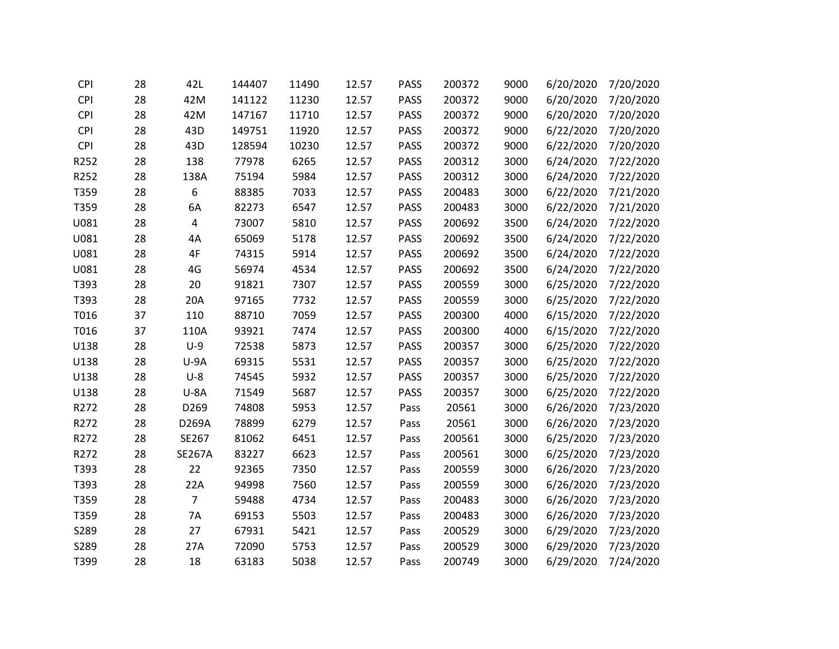| <b>CPI</b> | 28 | 42L            | 144407 | 11490 | 12.57 | <b>PASS</b> | 200372 | 9000 | 6/20/2020 | 7/20/2020 |
|------------|----|----------------|--------|-------|-------|-------------|--------|------|-----------|-----------|
| <b>CPI</b> | 28 | 42M            | 141122 | 11230 | 12.57 | PASS        | 200372 | 9000 | 6/20/2020 | 7/20/2020 |
| <b>CPI</b> | 28 | 42M            | 147167 | 11710 | 12.57 | PASS        | 200372 | 9000 | 6/20/2020 | 7/20/2020 |
| <b>CPI</b> | 28 | 43D            | 149751 | 11920 | 12.57 | <b>PASS</b> | 200372 | 9000 | 6/22/2020 | 7/20/2020 |
| <b>CPI</b> | 28 | 43D            | 128594 | 10230 | 12.57 | PASS        | 200372 | 9000 | 6/22/2020 | 7/20/2020 |
| R252       | 28 | 138            | 77978  | 6265  | 12.57 | <b>PASS</b> | 200312 | 3000 | 6/24/2020 | 7/22/2020 |
| R252       | 28 | 138A           | 75194  | 5984  | 12.57 | <b>PASS</b> | 200312 | 3000 | 6/24/2020 | 7/22/2020 |
| T359       | 28 | 6              | 88385  | 7033  | 12.57 | PASS        | 200483 | 3000 | 6/22/2020 | 7/21/2020 |
| T359       | 28 | 6A             | 82273  | 6547  | 12.57 | <b>PASS</b> | 200483 | 3000 | 6/22/2020 | 7/21/2020 |
| U081       | 28 | 4              | 73007  | 5810  | 12.57 | <b>PASS</b> | 200692 | 3500 | 6/24/2020 | 7/22/2020 |
| U081       | 28 | 4A             | 65069  | 5178  | 12.57 | PASS        | 200692 | 3500 | 6/24/2020 | 7/22/2020 |
| U081       | 28 | 4F             | 74315  | 5914  | 12.57 | PASS        | 200692 | 3500 | 6/24/2020 | 7/22/2020 |
| U081       | 28 | 4G             | 56974  | 4534  | 12.57 | <b>PASS</b> | 200692 | 3500 | 6/24/2020 | 7/22/2020 |
| T393       | 28 | 20             | 91821  | 7307  | 12.57 | <b>PASS</b> | 200559 | 3000 | 6/25/2020 | 7/22/2020 |
| T393       | 28 | 20A            | 97165  | 7732  | 12.57 | <b>PASS</b> | 200559 | 3000 | 6/25/2020 | 7/22/2020 |
| T016       | 37 | 110            | 88710  | 7059  | 12.57 | <b>PASS</b> | 200300 | 4000 | 6/15/2020 | 7/22/2020 |
| T016       | 37 | 110A           | 93921  | 7474  | 12.57 | PASS        | 200300 | 4000 | 6/15/2020 | 7/22/2020 |
| U138       | 28 | $U-9$          | 72538  | 5873  | 12.57 | PASS        | 200357 | 3000 | 6/25/2020 | 7/22/2020 |
| U138       | 28 | $U-9A$         | 69315  | 5531  | 12.57 | <b>PASS</b> | 200357 | 3000 | 6/25/2020 | 7/22/2020 |
| U138       | 28 | $U-8$          | 74545  | 5932  | 12.57 | <b>PASS</b> | 200357 | 3000 | 6/25/2020 | 7/22/2020 |
| U138       | 28 | $U-8A$         | 71549  | 5687  | 12.57 | <b>PASS</b> | 200357 | 3000 | 6/25/2020 | 7/22/2020 |
| R272       | 28 | D269           | 74808  | 5953  | 12.57 | Pass        | 20561  | 3000 | 6/26/2020 | 7/23/2020 |
| R272       | 28 | D269A          | 78899  | 6279  | 12.57 | Pass        | 20561  | 3000 | 6/26/2020 | 7/23/2020 |
| R272       | 28 | SE267          | 81062  | 6451  | 12.57 | Pass        | 200561 | 3000 | 6/25/2020 | 7/23/2020 |
| R272       | 28 | <b>SE267A</b>  | 83227  | 6623  | 12.57 | Pass        | 200561 | 3000 | 6/25/2020 | 7/23/2020 |
| T393       | 28 | 22             | 92365  | 7350  | 12.57 | Pass        | 200559 | 3000 | 6/26/2020 | 7/23/2020 |
| T393       | 28 | 22A            | 94998  | 7560  | 12.57 | Pass        | 200559 | 3000 | 6/26/2020 | 7/23/2020 |
| T359       | 28 | $\overline{7}$ | 59488  | 4734  | 12.57 | Pass        | 200483 | 3000 | 6/26/2020 | 7/23/2020 |
| T359       | 28 | 7A             | 69153  | 5503  | 12.57 | Pass        | 200483 | 3000 | 6/26/2020 | 7/23/2020 |
| S289       | 28 | 27             | 67931  | 5421  | 12.57 | Pass        | 200529 | 3000 | 6/29/2020 | 7/23/2020 |
| S289       | 28 | 27A            | 72090  | 5753  | 12.57 | Pass        | 200529 | 3000 | 6/29/2020 | 7/23/2020 |
| T399       | 28 | 18             | 63183  | 5038  | 12.57 | Pass        | 200749 | 3000 | 6/29/2020 | 7/24/2020 |